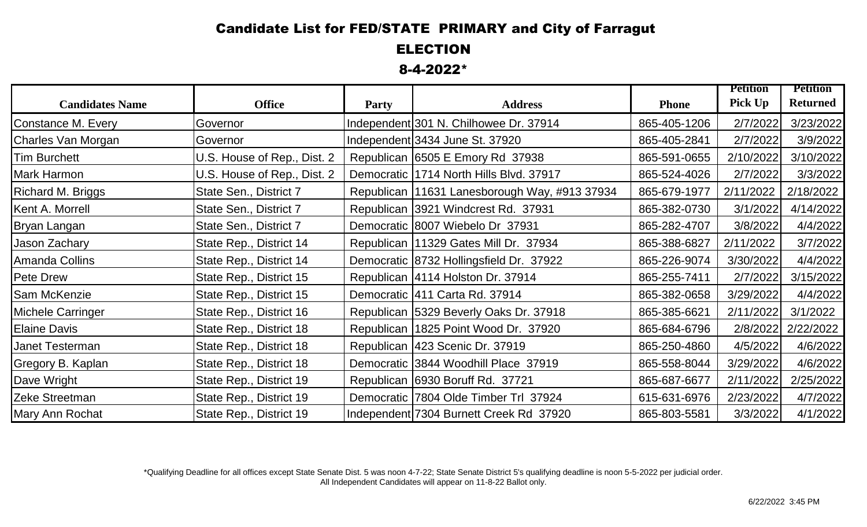## Candidate List for FED/STATE PRIMARY and City of Farragut

ELECTION

8-4-2022\*

|                        |                             |              |                                                 |              | <b>Petition</b> | <b>Petition</b> |
|------------------------|-----------------------------|--------------|-------------------------------------------------|--------------|-----------------|-----------------|
| <b>Candidates Name</b> | <b>Office</b>               | <b>Party</b> | <b>Address</b>                                  | <b>Phone</b> | <b>Pick Up</b>  | <b>Returned</b> |
| Constance M. Every     | Governor                    |              | Independent 301 N. Chilhowee Dr. 37914          | 865-405-1206 | 2/7/2022        | 3/23/2022       |
| Charles Van Morgan     | Governor                    |              | Independent 3434 June St. 37920                 | 865-405-2841 | 2/7/2022        | 3/9/2022        |
| Tim Burchett           | U.S. House of Rep., Dist. 2 |              | Republican 6505 E Emory Rd 37938                | 865-591-0655 | 2/10/2022       | 3/10/2022       |
| <b>Mark Harmon</b>     | U.S. House of Rep., Dist. 2 |              | Democratic 1714 North Hills Blvd. 37917         | 865-524-4026 | 2/7/2022        | 3/3/2022        |
| Richard M. Briggs      | State Sen., District 7      |              | Republican   11631 Lanesborough Way, #913 37934 | 865-679-1977 | 2/11/2022       | 2/18/2022       |
| Kent A. Morrell        | State Sen., District 7      |              | Republican 3921 Windcrest Rd. 37931             | 865-382-0730 | 3/1/2022        | 4/14/2022       |
| Bryan Langan           | State Sen., District 7      |              | Democratic 8007 Wiebelo Dr 37931                | 865-282-4707 | 3/8/2022        | 4/4/2022        |
| Jason Zachary          | State Rep., District 14     |              | Republican   11329 Gates Mill Dr. 37934         | 865-388-6827 | 2/11/2022       | 3/7/2022        |
| Amanda Collins         | State Rep., District 14     |              | Democratic 8732 Hollingsfield Dr. 37922         | 865-226-9074 | 3/30/2022       | 4/4/2022        |
| <b>Pete Drew</b>       | State Rep., District 15     |              | Republican   4114 Holston Dr. 37914             | 865-255-7411 | 2/7/2022        | 3/15/2022       |
| <b>Sam McKenzie</b>    | State Rep., District 15     |              | Democratic 411 Carta Rd. 37914                  | 865-382-0658 | 3/29/2022       | 4/4/2022        |
| Michele Carringer      | State Rep., District 16     |              | Republican 5329 Beverly Oaks Dr. 37918          | 865-385-6621 | 2/11/2022       | 3/1/2022        |
| <b>Elaine Davis</b>    | State Rep., District 18     |              | Republican   1825 Point Wood Dr. 37920          | 865-684-6796 | 2/8/2022        | 2/22/2022       |
| Janet Testerman        | State Rep., District 18     |              | Republican   423 Scenic Dr. 37919               | 865-250-4860 | 4/5/2022        | 4/6/2022        |
| Gregory B. Kaplan      | State Rep., District 18     |              | Democratic 3844 Woodhill Place 37919            | 865-558-8044 | 3/29/2022       | 4/6/2022        |
| Dave Wright            | State Rep., District 19     |              | Republican 6930 Boruff Rd. 37721                | 865-687-6677 | 2/11/2022       | 2/25/2022       |
| Zeke Streetman         | State Rep., District 19     |              | Democratic 7804 Olde Timber Trl 37924           | 615-631-6976 | 2/23/2022       | 4/7/2022        |
| Mary Ann Rochat        | State Rep., District 19     |              | Independent 7304 Burnett Creek Rd 37920         | 865-803-5581 | 3/3/2022        | 4/1/2022        |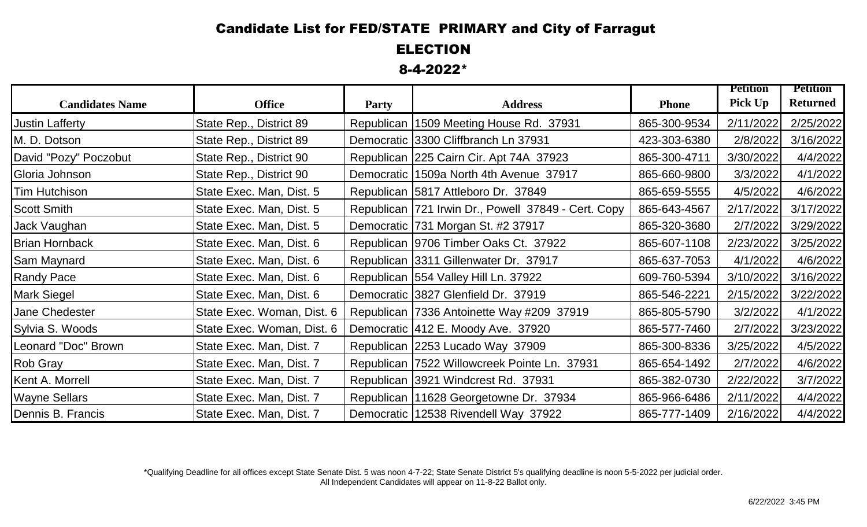## Candidate List for FED/STATE PRIMARY and City of Farragut

ELECTION

8-4-2022\*

|                        |                            |              |                                                       |              | <b>Petition</b> | <b>Petition</b> |
|------------------------|----------------------------|--------------|-------------------------------------------------------|--------------|-----------------|-----------------|
| <b>Candidates Name</b> | <b>Office</b>              | <b>Party</b> | <b>Address</b>                                        | <b>Phone</b> | <b>Pick Up</b>  | <b>Returned</b> |
| <b>Justin Lafferty</b> | State Rep., District 89    |              | Republican   1509 Meeting House Rd. 37931             | 865-300-9534 | 2/11/2022       | 2/25/2022       |
| M. D. Dotson           | State Rep., District 89    |              | Democratic 3300 Cliffbranch Ln 37931                  | 423-303-6380 | 2/8/2022        | 3/16/2022       |
| David "Pozy" Poczobut  | State Rep., District 90    |              | Republican 225 Cairn Cir. Apt 74A 37923               | 865-300-4711 | 3/30/2022       | 4/4/2022        |
| Gloria Johnson         | State Rep., District 90    |              | Democratic 1509a North 4th Avenue 37917               | 865-660-9800 | 3/3/2022        | 4/1/2022        |
| Tim Hutchison          | State Exec. Man, Dist. 5   |              | Republican 5817 Attleboro Dr. 37849                   | 865-659-5555 | 4/5/2022        | 4/6/2022        |
| <b>Scott Smith</b>     | State Exec. Man, Dist. 5   |              | Republican   721 Irwin Dr., Powell 37849 - Cert. Copy | 865-643-4567 | 2/17/2022       | 3/17/2022       |
| Jack Vaughan           | State Exec. Man, Dist. 5   |              | Democratic 731 Morgan St. #2 37917                    | 865-320-3680 | 2/7/2022        | 3/29/2022       |
| <b>Brian Hornback</b>  | State Exec. Man, Dist. 6   |              | Republican 9706 Timber Oaks Ct. 37922                 | 865-607-1108 | 2/23/2022       | 3/25/2022       |
| Sam Maynard            | State Exec. Man, Dist. 6   |              | Republican 3311 Gillenwater Dr. 37917                 | 865-637-7053 | 4/1/2022        | 4/6/2022        |
| <b>Randy Pace</b>      | State Exec. Man, Dist. 6   |              | Republican 554 Valley Hill Ln. 37922                  | 609-760-5394 | 3/10/2022       | 3/16/2022       |
| <b>Mark Siegel</b>     | State Exec. Man, Dist. 6   |              | Democratic 3827 Glenfield Dr. 37919                   | 865-546-2221 | 2/15/2022       | 3/22/2022       |
| <b>Jane Chedester</b>  | State Exec. Woman, Dist. 6 |              | Republican   7336 Antoinette Way #209 37919           | 865-805-5790 | 3/2/2022        | 4/1/2022        |
| Sylvia S. Woods        | State Exec. Woman, Dist. 6 |              | Democratic   412 E. Moody Ave. 37920                  | 865-577-7460 | 2/7/2022        | 3/23/2022       |
| Leonard "Doc" Brown    | State Exec. Man, Dist. 7   |              | Republican 2253 Lucado Way 37909                      | 865-300-8336 | 3/25/2022       | 4/5/2022        |
| <b>Rob Gray</b>        | State Exec. Man, Dist. 7   |              | Republican   7522 Willowcreek Pointe Ln. 37931        | 865-654-1492 | 2/7/2022        | 4/6/2022        |
| Kent A. Morrell        | State Exec. Man, Dist. 7   |              | Republican 3921 Windcrest Rd. 37931                   | 865-382-0730 | 2/22/2022       | 3/7/2022        |
| <b>Wayne Sellars</b>   | State Exec. Man, Dist. 7   |              | Republican   11628 Georgetowne Dr. 37934              | 865-966-6486 | 2/11/2022       | 4/4/2022        |
| Dennis B. Francis      | State Exec. Man, Dist. 7   |              | Democratic   12538 Rivendell Way 37922                | 865-777-1409 | 2/16/2022       | 4/4/2022        |